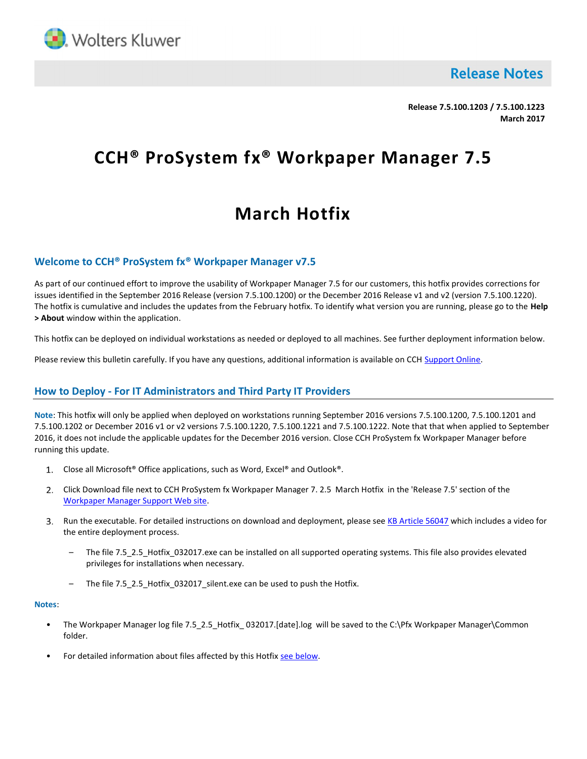

**Release Notes** 

Release 7.5.100.1203 / 7.5.100.1223 March 2017

# CCH® ProSystem fx® Workpaper Manager 7.5

## March Hotfix

#### Welcome to CCH® ProSystem fx® Workpaper Manager v7.5

As part of our continued effort to improve the usability of Workpaper Manager 7.5 for our customers, this hotfix provides corrections for issues identified in the September 2016 Release (version 7.5.100.1200) or the December 2016 Release v1 and v2 (version 7.5.100.1220). The hotfix is cumulative and includes the updates from the February hotfix. To identify what version you are running, please go to the Help > About window within the application.

This hotfix can be deployed on individual workstations as needed or deployed to all machines. See further deployment information below.

Please review this bulletin carefully. If you have any questions, additional information is available on CCH Support Online.

#### How to Deploy - For IT Administrators and Third Party IT Providers

Note: This hotfix will only be applied when deployed on workstations running September 2016 versions 7.5.100.1200, 7.5.100.1201 and 7.5.100.1202 or December 2016 v1 or v2 versions 7.5.100.1220, 7.5.100.1221 and 7.5.100.1222. Note that that when applied to September 2016, it does not include the applicable updates for the December 2016 version. Close CCH ProSystem fx Workpaper Manager before running this update.

- 1. Close all Microsoft<sup>®</sup> Office applications, such as Word, Excel® and Outlook®.
- Click Download file next to CCH ProSystem fx Workpaper Manager 7. 2.5 March Hotfix in the 'Release 7.5' section of the Workpaper Manager Support Web site.
- 3. Run the executable. For detailed instructions on download and deployment, please see KB Article 56047 which includes a video for the entire deployment process.
	- The file 7.5\_2.5\_Hotfix\_032017.exe can be installed on all supported operating systems. This file also provides elevated privileges for installations when necessary.
	- The file 7.5 2.5 Hotfix 032017 silent.exe can be used to push the Hotfix.

#### Notes:

- The Workpaper Manager log file 7.5 2.5 Hotfix 032017.[date].log will be saved to the C:\Pfx Workpaper Manager\Common folder.
- For detailed information about files affected by this Hotfix see below.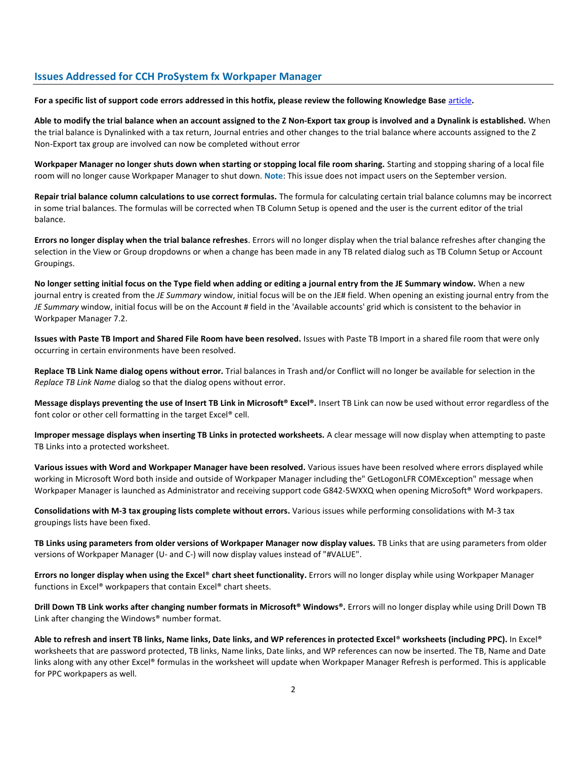#### Issues Addressed for CCH ProSystem fx Workpaper Manager

For a specific list of support code errors addressed in this hotfix, please review the following Knowledge Base article.

Able to modify the trial balance when an account assigned to the Z Non-Export tax group is involved and a Dynalink is established. When the trial balance is Dynalinked with a tax return, Journal entries and other changes to the trial balance where accounts assigned to the Z Non-Export tax group are involved can now be completed without error

Workpaper Manager no longer shuts down when starting or stopping local file room sharing. Starting and stopping sharing of a local file room will no longer cause Workpaper Manager to shut down. Note: This issue does not impact users on the September version.

Repair trial balance column calculations to use correct formulas. The formula for calculating certain trial balance columns may be incorrect in some trial balances. The formulas will be corrected when TB Column Setup is opened and the user is the current editor of the trial balance.

Errors no longer display when the trial balance refreshes. Errors will no longer display when the trial balance refreshes after changing the selection in the View or Group dropdowns or when a change has been made in any TB related dialog such as TB Column Setup or Account Groupings.

No longer setting initial focus on the Type field when adding or editing a journal entry from the JE Summary window. When a new journal entry is created from the JE Summary window, initial focus will be on the JE# field. When opening an existing journal entry from the JE Summary window, initial focus will be on the Account # field in the 'Available accounts' grid which is consistent to the behavior in Workpaper Manager 7.2.

Issues with Paste TB Import and Shared File Room have been resolved. Issues with Paste TB Import in a shared file room that were only occurring in certain environments have been resolved.

Replace TB Link Name dialog opens without error. Trial balances in Trash and/or Conflict will no longer be available for selection in the Replace TB Link Name dialog so that the dialog opens without error.

Message displays preventing the use of Insert TB Link in Microsoft® Excel®. Insert TB Link can now be used without error regardless of the font color or other cell formatting in the target Excel® cell.

Improper message displays when inserting TB Links in protected worksheets. A clear message will now display when attempting to paste TB Links into a protected worksheet.

Various issues with Word and Workpaper Manager have been resolved. Various issues have been resolved where errors displayed while working in Microsoft Word both inside and outside of Workpaper Manager including the" GetLogonLFR COMException" message when Workpaper Manager is launched as Administrator and receiving support code G842-5WXXQ when opening MicroSoft® Word workpapers.

Consolidations with M-3 tax grouping lists complete without errors. Various issues while performing consolidations with M-3 tax groupings lists have been fixed.

TB Links using parameters from older versions of Workpaper Manager now display values. TB Links that are using parameters from older versions of Workpaper Manager (U- and C-) will now display values instead of "#VALUE".

Errors no longer display when using the Excel® chart sheet functionality. Errors will no longer display while using Workpaper Manager functions in Excel® workpapers that contain Excel® chart sheets.

Drill Down TB Link works after changing number formats in Microsoft® Windows®. Errors will no longer display while using Drill Down TB Link after changing the Windows® number format.

Able to refresh and insert TB links, Name links, Date links, and WP references in protected Excel® worksheets (including PPC). In Excel® worksheets that are password protected, TB links, Name links, Date links, and WP references can now be inserted. The TB, Name and Date links along with any other Excel® formulas in the worksheet will update when Workpaper Manager Refresh is performed. This is applicable for PPC workpapers as well.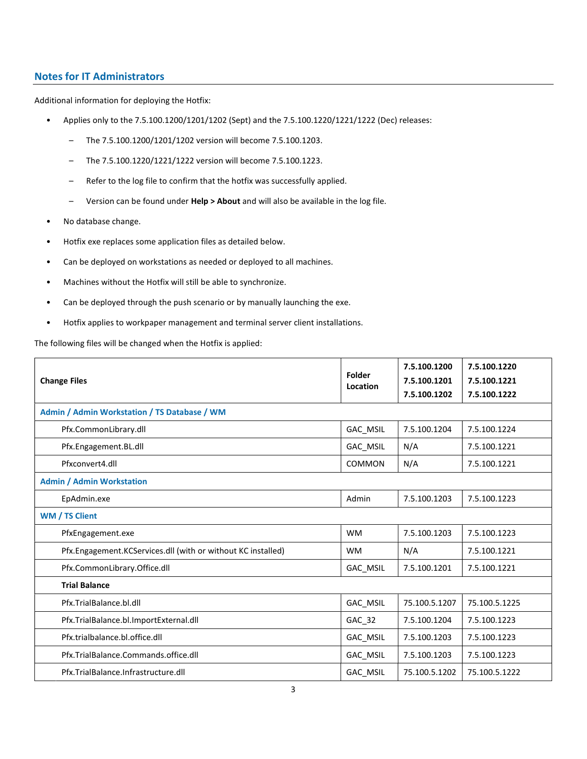### Notes for IT Administrators

Additional information for deploying the Hotfix:

- Applies only to the 7.5.100.1200/1201/1202 (Sept) and the 7.5.100.1220/1221/1222 (Dec) releases:
	- The 7.5.100.1200/1201/1202 version will become 7.5.100.1203.
	- The 7.5.100.1220/1221/1222 version will become 7.5.100.1223.
	- Refer to the log file to confirm that the hotfix was successfully applied.
	- Version can be found under Help > About and will also be available in the log file.
- No database change.
- Hotfix exe replaces some application files as detailed below.
- Can be deployed on workstations as needed or deployed to all machines.
- Machines without the Hotfix will still be able to synchronize.
- Can be deployed through the push scenario or by manually launching the exe.
- Hotfix applies to workpaper management and terminal server client installations.

The following files will be changed when the Hotfix is applied:

| <b>Change Files</b>                                          | Folder<br>Location | 7.5.100.1200<br>7.5.100.1201 | 7.5.100.1220<br>7.5.100.1221 |  |  |  |
|--------------------------------------------------------------|--------------------|------------------------------|------------------------------|--|--|--|
|                                                              |                    | 7.5.100.1202                 | 7.5.100.1222                 |  |  |  |
| Admin / Admin Workstation / TS Database / WM                 |                    |                              |                              |  |  |  |
| Pfx.CommonLibrary.dll                                        | GAC_MSIL           | 7.5.100.1204                 | 7.5.100.1224                 |  |  |  |
| Pfx.Engagement.BL.dll                                        | <b>GAC MSIL</b>    | N/A                          | 7.5.100.1221                 |  |  |  |
| Pfxconvert4.dll                                              | COMMON             | N/A                          | 7.5.100.1221                 |  |  |  |
| <b>Admin / Admin Workstation</b>                             |                    |                              |                              |  |  |  |
| EpAdmin.exe                                                  | Admin              | 7.5.100.1203                 | 7.5.100.1223                 |  |  |  |
| WM / TS Client                                               |                    |                              |                              |  |  |  |
| PfxEngagement.exe                                            | <b>WM</b>          | 7.5.100.1203                 | 7.5.100.1223                 |  |  |  |
| Pfx.Engagement.KCServices.dll (with or without KC installed) | <b>WM</b>          | N/A                          | 7.5.100.1221                 |  |  |  |
| Pfx.CommonLibrary.Office.dll                                 | GAC_MSIL           | 7.5.100.1201                 | 7.5.100.1221                 |  |  |  |
| <b>Trial Balance</b>                                         |                    |                              |                              |  |  |  |
| Pfx.TrialBalance.bl.dll                                      | GAC_MSIL           | 75.100.5.1207                | 75.100.5.1225                |  |  |  |
| Pfx.TrialBalance.bl.ImportExternal.dll                       | GAC 32             | 7.5.100.1204                 | 7.5.100.1223                 |  |  |  |
| Pfx.trialbalance.bl.office.dll                               | GAC_MSIL           | 7.5.100.1203                 | 7.5.100.1223                 |  |  |  |
| Pfx.TrialBalance.Commands.office.dll                         | GAC_MSIL           | 7.5.100.1203                 | 7.5.100.1223                 |  |  |  |
| Pfx.TrialBalance.Infrastructure.dll                          | GAC_MSIL           | 75.100.5.1202                | 75.100.5.1222                |  |  |  |